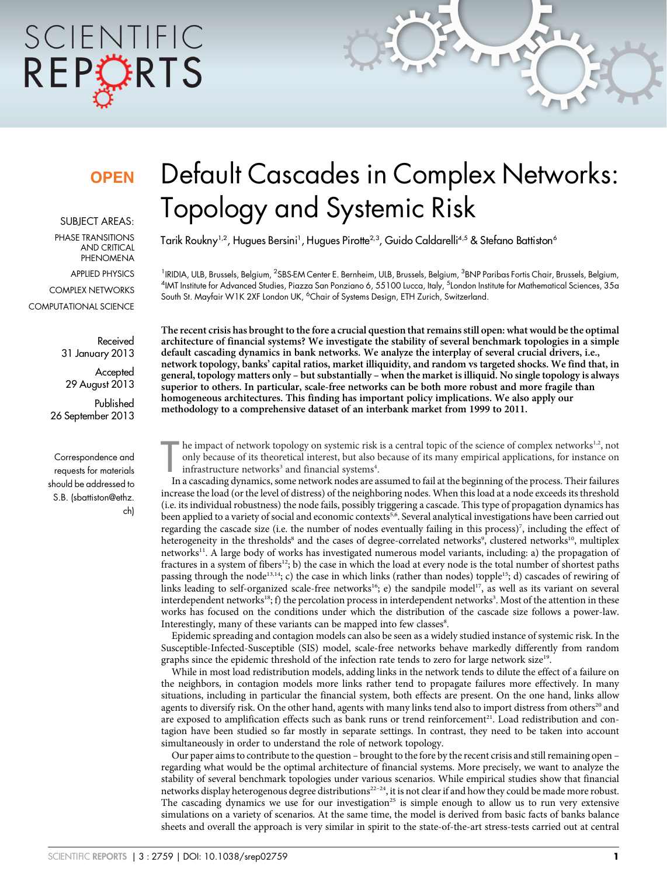# SCIENTIFIC REPORTS

### **OPFN**

SUBJECT AREAS:

PHASE TRANSITIONS AND CRITICAL PHENOMENA

APPLIED PHYSICS

COMPLEX NETWORKS COMPUTATIONAL SCIENCE

> Received 31 January 2013

**Accepted** 29 August 2013

Published 26 September 2013

Correspondence and requests for materials should be addressed to S.B. (sbattiston@ethz. ch)

## Default Cascades in Complex Networks: Topology and Systemic Risk

Tarik Roukny<sup>1,2</sup>, Hugues Bersini<sup>1</sup>, Hugues Pirotte<sup>2,3</sup>, Guido Caldarelli<sup>4,5</sup> & Stefano Battiston<sup>6</sup>

<sup>1</sup>IRIDIA, ULB, Brussels, Belgium, <sup>2</sup>SBS-EM Center E. Bernheim, ULB, Brussels, Belgium, <sup>3</sup>BNP Paribas Fortis Chair, Brussels, Belgium, <sup>4</sup>IMT Institute for Advanced Studies, Piazza San Ponziano 6, 55100 Lucca, Italy, <sup>5</sup>London Institute for Mathematical Sciences, 35a South St. Mayfair W1K 2XF London UK, <sup>6</sup>Chair of Systems Design, ETH Zurich, Switzerland.

The recent crisis has brought to the fore a crucial question that remains still open: what would be the optimal architecture of financial systems? We investigate the stability of several benchmark topologies in a simple default cascading dynamics in bank networks. We analyze the interplay of several crucial drivers, i.e., network topology, banks' capital ratios, market illiquidity, and random vs targeted shocks. We find that, in general, topology matters only – but substantially – when the market is illiquid. No single topology is always superior to others. In particular, scale-free networks can be both more robust and more fragile than homogeneous architectures. This finding has important policy implications. We also apply our methodology to a comprehensive dataset of an interbank market from 1999 to 2011.

 $\prod_{\mathrm{Irr}}$ he impact of network topology on systemic risk is a central topic of the science of complex networks<sup>1,2</sup>, not only because of its theoretical interest, but also because of its many empirical applications, for instance on infrastructure networks<sup>3</sup> and financial systems<sup>4</sup>.

In a cascading dynamics, some network nodes are assumed to fail at the beginning of the process. Their failures increase the load (or the level of distress) of the neighboring nodes. When this load at a node exceeds its threshold (i.e. its individual robustness) the node fails, possibly triggering a cascade. This type of propagation dynamics has been applied to a variety of social and economic contexts<sup>5,6</sup>. Several analytical investigations have been carried out regarding the cascade size (i.e. the number of nodes eventually failing in this process)<sup>7</sup>, including the effect of heterogeneity in the thresholds<sup>8</sup> and the cases of degree-correlated networks<sup>9</sup>, clustered networks<sup>10</sup>, multiplex networks<sup>11</sup>. A large body of works has investigated numerous model variants, including: a) the propagation of fractures in a system of fibers<sup>12</sup>; b) the case in which the load at every node is the total number of shortest paths passing through the node<sup>13,14</sup>; c) the case in which links (rather than nodes) topple<sup>15</sup>; d) cascades of rewiring of links leading to self-organized scale-free networks<sup>16</sup>; e) the sandpile model<sup>17</sup>, as well as its variant on several interdependent networks<sup>18</sup>; f) the percolation process in interdependent networks<sup>3</sup>. Most of the attention in these works has focused on the conditions under which the distribution of the cascade size follows a power-law. Interestingly, many of these variants can be mapped into few classes<sup>8</sup>.

Epidemic spreading and contagion models can also be seen as a widely studied instance of systemic risk. In the Susceptible-Infected-Susceptible (SIS) model, scale-free networks behave markedly differently from random graphs since the epidemic threshold of the infection rate tends to zero for large network size<sup>19</sup>.

While in most load redistribution models, adding links in the network tends to dilute the effect of a failure on the neighbors, in contagion models more links rather tend to propagate failures more effectively. In many situations, including in particular the financial system, both effects are present. On the one hand, links allow agents to diversify risk. On the other hand, agents with many links tend also to import distress from others<sup>20</sup> and are exposed to amplification effects such as bank runs or trend reinforcement<sup>21</sup>. Load redistribution and contagion have been studied so far mostly in separate settings. In contrast, they need to be taken into account simultaneously in order to understand the role of network topology.

Our paper aims to contribute to the question – brought to the fore by the recent crisis and still remaining open – regarding what would be the optimal architecture of financial systems. More precisely, we want to analyze the stability of several benchmark topologies under various scenarios. While empirical studies show that financial networks display heterogenous degree distributions<sup>22-24</sup>, it is not clear if and how they could be made more robust. The cascading dynamics we use for our investigation<sup>25</sup> is simple enough to allow us to run very extensive simulations on a variety of scenarios. At the same time, the model is derived from basic facts of banks balance sheets and overall the approach is very similar in spirit to the state-of-the-art stress-tests carried out at central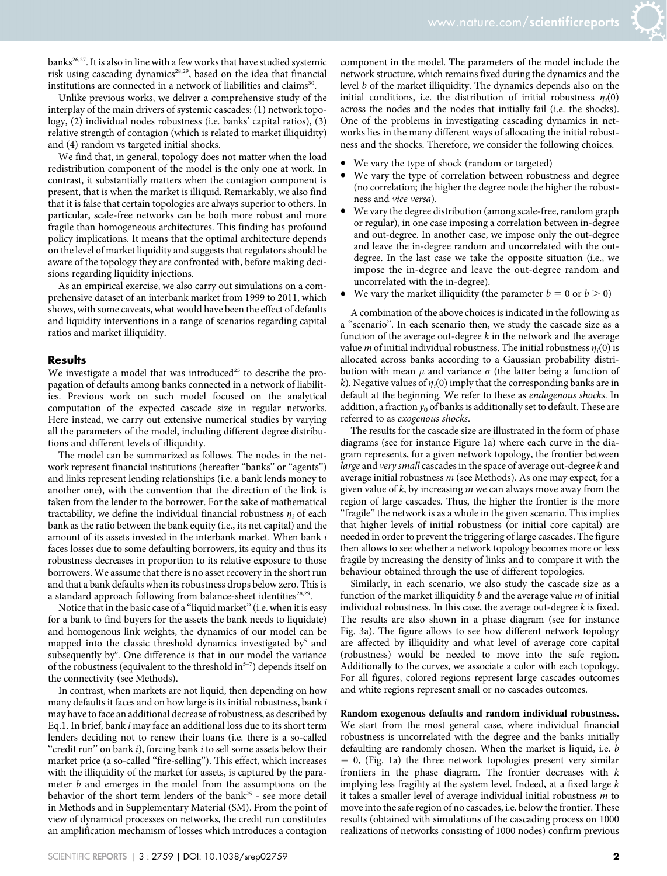$\mathrm{banks}^{26,27}.$  It is also in line with a few works that have studied systemic risk using cascading dynamics<sup>28,29</sup>, based on the idea that financial institutions are connected in a network of liabilities and claims<sup>30</sup>.

Unlike previous works, we deliver a comprehensive study of the interplay of the main drivers of systemic cascades: (1) network topology, (2) individual nodes robustness (i.e. banks' capital ratios), (3) relative strength of contagion (which is related to market illiquidity) and (4) random vs targeted initial shocks.

We find that, in general, topology does not matter when the load redistribution component of the model is the only one at work. In contrast, it substantially matters when the contagion component is present, that is when the market is illiquid. Remarkably, we also find that it is false that certain topologies are always superior to others. In particular, scale-free networks can be both more robust and more fragile than homogeneous architectures. This finding has profound policy implications. It means that the optimal architecture depends on the level of market liquidity and suggests that regulators should be aware of the topology they are confronted with, before making decisions regarding liquidity injections.

As an empirical exercise, we also carry out simulations on a comprehensive dataset of an interbank market from 1999 to 2011, which shows, with some caveats, what would have been the effect of defaults and liquidity interventions in a range of scenarios regarding capital ratios and market illiquidity.

#### **Results**

We investigate a model that was introduced<sup>25</sup> to describe the propagation of defaults among banks connected in a network of liabilities. Previous work on such model focused on the analytical computation of the expected cascade size in regular networks. Here instead, we carry out extensive numerical studies by varying all the parameters of the model, including different degree distributions and different levels of illiquidity.

The model can be summarized as follows. The nodes in the network represent financial institutions (hereafter ''banks'' or ''agents'') and links represent lending relationships (i.e. a bank lends money to another one), with the convention that the direction of the link is taken from the lender to the borrower. For the sake of mathematical tractability, we define the individual financial robustness  $\eta_i$  of each bank as the ratio between the bank equity (i.e., its net capital) and the amount of its assets invested in the interbank market. When bank i faces losses due to some defaulting borrowers, its equity and thus its robustness decreases in proportion to its relative exposure to those borrowers. We assume that there is no asset recovery in the short run and that a bank defaults when its robustness drops below zero. This is a standard approach following from balance-sheet identities<sup>28,29</sup>.

Notice that in the basic case of a ''liquid market'' (i.e. when it is easy for a bank to find buyers for the assets the bank needs to liquidate) and homogenous link weights, the dynamics of our model can be mapped into the classic threshold dynamics investigated by<sup>5</sup> and subsequently by<sup>6</sup>. One difference is that in our model the variance of the robustness (equivalent to the threshold  $in<sup>5-7</sup>$ ) depends itself on the connectivity (see Methods).

In contrast, when markets are not liquid, then depending on how many defaults it faces and on how large is its initial robustness, bank i may have to face an additional decrease of robustness, as described by Eq.1. In brief, bank i may face an additional loss due to its short term lenders deciding not to renew their loans (i.e. there is a so-called "credit run" on bank  $i$ ), forcing bank  $i$  to sell some assets below their market price (a so-called "fire-selling"). This effect, which increases with the illiquidity of the market for assets, is captured by the parameter  $b$  and emerges in the model from the assumptions on the behavior of the short term lenders of the bank<sup>25</sup> - see more detail in Methods and in Supplementary Material (SM). From the point of view of dynamical processes on networks, the credit run constitutes an amplification mechanism of losses which introduces a contagion

component in the model. The parameters of the model include the network structure, which remains fixed during the dynamics and the level b of the market illiquidity. The dynamics depends also on the initial conditions, i.e. the distribution of initial robustness  $\eta_i(0)$ across the nodes and the nodes that initially fail (i.e. the shocks). One of the problems in investigating cascading dynamics in networks lies in the many different ways of allocating the initial robustness and the shocks. Therefore, we consider the following choices.

- . We vary the type of shock (random or targeted)
- . We vary the type of correlation between robustness and degree (no correlation; the higher the degree node the higher the robustness and vice versa).
- . We vary the degree distribution (among scale-free, random graph or regular), in one case imposing a correlation between in-degree and out-degree. In another case, we impose only the out-degree and leave the in-degree random and uncorrelated with the outdegree. In the last case we take the opposite situation (i.e., we impose the in-degree and leave the out-degree random and uncorrelated with the in-degree).
- We vary the market illiquidity (the parameter  $b = 0$  or  $b > 0$ )

A combination of the above choices is indicated in the following as a ''scenario''. In each scenario then, we study the cascade size as a function of the average out-degree  $k$  in the network and the average value *m* of initial individual robustness. The initial robustness  $\eta_i(0)$  is allocated across banks according to a Gaussian probability distribution with mean  $\mu$  and variance  $\sigma$  (the latter being a function of k). Negative values of  $\eta_i(0)$  imply that the corresponding banks are in default at the beginning. We refer to these as endogenous shocks. In addition, a fraction  $y_0$  of banks is additionally set to default. These are referred to as exogenous shocks.

The results for the cascade size are illustrated in the form of phase diagrams (see for instance Figure 1a) where each curve in the diagram represents, for a given network topology, the frontier between large and very small cascades in the space of average out-degree k and average initial robustness  $m$  (see Methods). As one may expect, for a given value of  $k$ , by increasing  $m$  we can always move away from the region of large cascades. Thus, the higher the frontier is the more ''fragile'' the network is as a whole in the given scenario. This implies that higher levels of initial robustness (or initial core capital) are needed in order to prevent the triggering of large cascades. The figure then allows to see whether a network topology becomes more or less fragile by increasing the density of links and to compare it with the behaviour obtained through the use of different topologies.

Similarly, in each scenario, we also study the cascade size as a function of the market illiquidity  $b$  and the average value  $m$  of initial individual robustness. In this case, the average out-degree k is fixed. The results are also shown in a phase diagram (see for instance Fig. 3a). The figure allows to see how different network topology are affected by illiquidity and what level of average core capital (robustness) would be needed to move into the safe region. Additionally to the curves, we associate a color with each topology. For all figures, colored regions represent large cascades outcomes and white regions represent small or no cascades outcomes.

Random exogenous defaults and random individual robustness. We start from the most general case, where individual financial robustness is uncorrelated with the degree and the banks initially defaulting are randomly chosen. When the market is liquid, i.e. b  $= 0$ , (Fig. 1a) the three network topologies present very similar frontiers in the phase diagram. The frontier decreases with  $k$ implying less fragility at the system level. Indeed, at a fixed large k it takes a smaller level of average individual initial robustness  $m$  to move into the safe region of no cascades, i.e. below the frontier. These results (obtained with simulations of the cascading process on 1000 realizations of networks consisting of 1000 nodes) confirm previous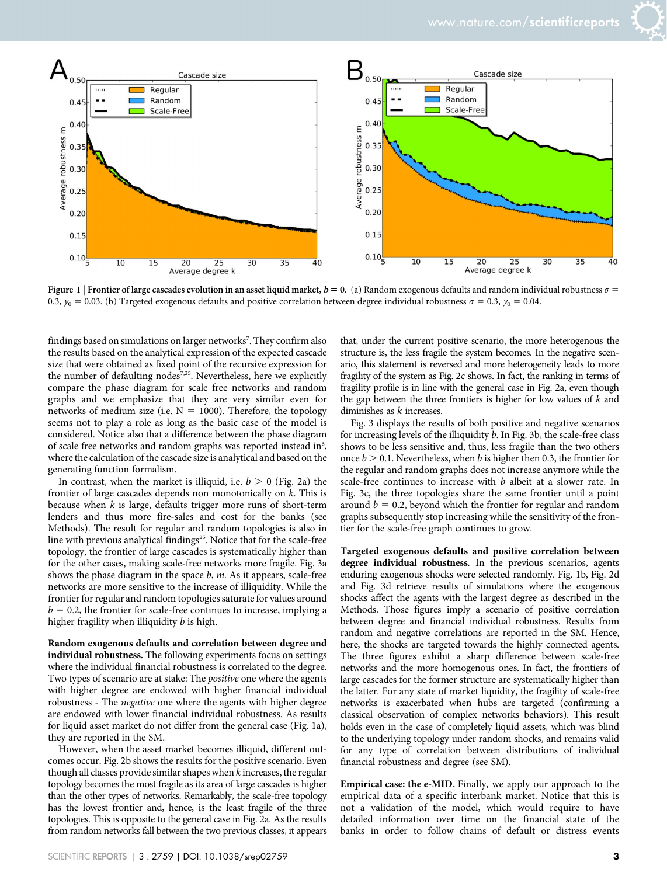

Figure 1 | Frontier of large cascades evolution in an asset liquid market,  $b = 0$ . (a) Random exogenous defaults and random individual robustness  $\sigma$ 0.3,  $y_0 = 0.03$ . (b) Targeted exogenous defaults and positive correlation between degree individual robustness  $\sigma = 0.3$ ,  $y_0 = 0.04$ .

findings based on simulations on larger networks<sup>7</sup>. They confirm also the results based on the analytical expression of the expected cascade size that were obtained as fixed point of the recursive expression for the number of defaulting nodes<sup>7,25</sup>. Nevertheless, here we explicitly compare the phase diagram for scale free networks and random graphs and we emphasize that they are very similar even for networks of medium size (i.e.  $N = 1000$ ). Therefore, the topology seems not to play a role as long as the basic case of the model is considered. Notice also that a difference between the phase diagram of scale free networks and random graphs was reported instead in<sup>6</sup>, where the calculation of the cascade size is analytical and based on the generating function formalism.

In contrast, when the market is illiquid, i.e.  $b > 0$  (Fig. 2a) the frontier of large cascades depends non monotonically on  $k$ . This is because when  $k$  is large, defaults trigger more runs of short-term lenders and thus more fire-sales and cost for the banks (see Methods). The result for regular and random topologies is also in line with previous analytical findings $25$ . Notice that for the scale-free topology, the frontier of large cascades is systematically higher than for the other cases, making scale-free networks more fragile. Fig. 3a shows the phase diagram in the space  $b$ ,  $m$ . As it appears, scale-free networks are more sensitive to the increase of illiquidity. While the frontier for regular and random topologies saturate for values around  $b = 0.2$ , the frontier for scale-free continues to increase, implying a higher fragility when illiquidity *b* is high.

Random exogenous defaults and correlation between degree and individual robustness. The following experiments focus on settings where the individual financial robustness is correlated to the degree. Two types of scenario are at stake: The *positive* one where the agents with higher degree are endowed with higher financial individual robustness - The negative one where the agents with higher degree are endowed with lower financial individual robustness. As results for liquid asset market do not differ from the general case (Fig. 1a), they are reported in the SM.

However, when the asset market becomes illiquid, different outcomes occur. Fig. 2b shows the results for the positive scenario. Even though all classes provide similar shapes when  $k$  increases, the regular topology becomes the most fragile as its area of large cascades is higher than the other types of networks. Remarkably, the scale-free topology has the lowest frontier and, hence, is the least fragile of the three topologies. This is opposite to the general case in Fig. 2a. As the results from random networks fall between the two previous classes, it appears that, under the current positive scenario, the more heterogenous the structure is, the less fragile the system becomes. In the negative scenario, this statement is reversed and more heterogeneity leads to more fragility of the system as Fig. 2c shows. In fact, the ranking in terms of fragility profile is in line with the general case in Fig. 2a, even though the gap between the three frontiers is higher for low values of  $k$  and diminishes as *k* increases.

Fig. 3 displays the results of both positive and negative scenarios for increasing levels of the illiquidity b. In Fig. 3b, the scale-free class shows to be less sensitive and, thus, less fragile than the two others once  $b > 0.1$ . Nevertheless, when b is higher then 0.3, the frontier for the regular and random graphs does not increase anymore while the scale-free continues to increase with *b* albeit at a slower rate. In Fig. 3c, the three topologies share the same frontier until a point around  $b = 0.2$ , beyond which the frontier for regular and random graphs subsequently stop increasing while the sensitivity of the frontier for the scale-free graph continues to grow.

Targeted exogenous defaults and positive correlation between degree individual robustness. In the previous scenarios, agents enduring exogenous shocks were selected randomly. Fig. 1b, Fig. 2d and Fig. 3d retrieve results of simulations where the exogenous shocks affect the agents with the largest degree as described in the Methods. Those figures imply a scenario of positive correlation between degree and financial individual robustness. Results from random and negative correlations are reported in the SM. Hence, here, the shocks are targeted towards the highly connected agents. The three figures exhibit a sharp difference between scale-free networks and the more homogenous ones. In fact, the frontiers of large cascades for the former structure are systematically higher than the latter. For any state of market liquidity, the fragility of scale-free networks is exacerbated when hubs are targeted (confirming a classical observation of complex networks behaviors). This result holds even in the case of completely liquid assets, which was blind to the underlying topology under random shocks, and remains valid for any type of correlation between distributions of individual financial robustness and degree (see SM).

Empirical case: the e-MID. Finally, we apply our approach to the empirical data of a specific interbank market. Notice that this is not a validation of the model, which would require to have detailed information over time on the financial state of the banks in order to follow chains of default or distress events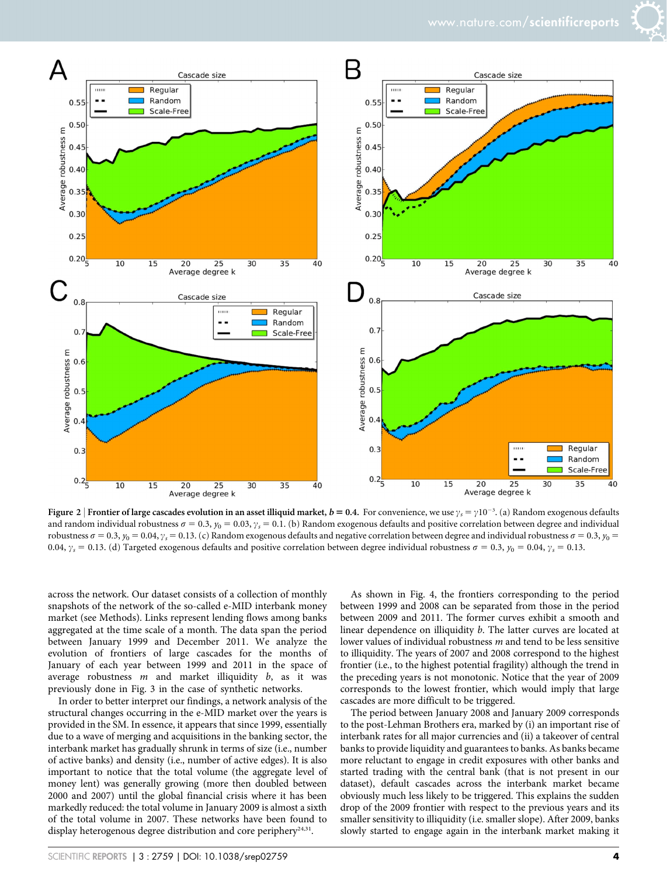

Figure 2 | Frontier of large cascades evolution in an asset illiquid market,  $b=0.4$ . For convenience, we use  $\gamma_s=\gamma10^{-3}$ . (a) Random exogenous defaults and random individual robustness  $\sigma = 0.3$ ,  $y_0 = 0.03$ ,  $y_s = 0.1$ . (b) Random exogenous defaults and positive correlation between degree and individual robustness  $\sigma = 0.3$ ,  $y_0 = 0.04$ ,  $y_s = 0.13$ . (c) Random exogenous defaults and negative correlation between degree and individual robustness  $\sigma = 0.3$ ,  $y_0 = 0.04$ 0.04,  $\gamma_s$  = 0.13. (d) Targeted exogenous defaults and positive correlation between degree individual robustness  $\sigma$  = 0.3,  $\gamma_0$  = 0.04,  $\gamma_s$  = 0.13.

across the network. Our dataset consists of a collection of monthly snapshots of the network of the so-called e-MID interbank money market (see Methods). Links represent lending flows among banks aggregated at the time scale of a month. The data span the period between January 1999 and December 2011. We analyze the evolution of frontiers of large cascades for the months of January of each year between 1999 and 2011 in the space of average robustness  $m$  and market illiquidity  $b$ , as it was previously done in Fig. 3 in the case of synthetic networks.

In order to better interpret our findings, a network analysis of the structural changes occurring in the e-MID market over the years is provided in the SM. In essence, it appears that since 1999, essentially due to a wave of merging and acquisitions in the banking sector, the interbank market has gradually shrunk in terms of size (i.e., number of active banks) and density (i.e., number of active edges). It is also important to notice that the total volume (the aggregate level of money lent) was generally growing (more then doubled between 2000 and 2007) until the global financial crisis where it has been markedly reduced: the total volume in January 2009 is almost a sixth of the total volume in 2007. These networks have been found to display heterogenous degree distribution and core periphery<sup>24,31</sup>.

As shown in Fig. 4, the frontiers corresponding to the period between 1999 and 2008 can be separated from those in the period between 2009 and 2011. The former curves exhibit a smooth and linear dependence on illiquidity b. The latter curves are located at lower values of individual robustness m and tend to be less sensitive to illiquidity. The years of 2007 and 2008 correspond to the highest frontier (i.e., to the highest potential fragility) although the trend in the preceding years is not monotonic. Notice that the year of 2009 corresponds to the lowest frontier, which would imply that large cascades are more difficult to be triggered.

The period between January 2008 and January 2009 corresponds to the post-Lehman Brothers era, marked by (i) an important rise of interbank rates for all major currencies and (ii) a takeover of central banks to provide liquidity and guarantees to banks. As banks became more reluctant to engage in credit exposures with other banks and started trading with the central bank (that is not present in our dataset), default cascades across the interbank market became obviously much less likely to be triggered. This explains the sudden drop of the 2009 frontier with respect to the previous years and its smaller sensitivity to illiquidity (i.e. smaller slope). After 2009, banks slowly started to engage again in the interbank market making it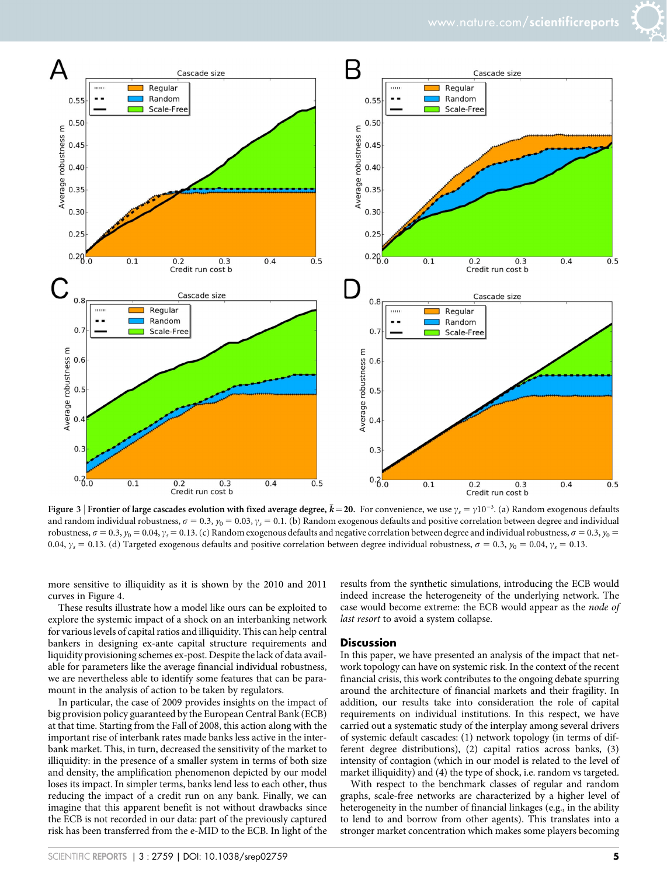

Figure 3 | Frontier of large cascades evolution with fixed average degree,  $\bar{\bm{k}}$  = 20. For convenience, we use  $\gamma_s$  =  $\gamma10^{-3}$ . (a) Random exogenous defaults and random individual robustness,  $\sigma = 0.3$ ,  $y_0 = 0.03$ ,  $y_s = 0.1$ . (b) Random exogenous defaults and positive correlation between degree and individual robustness,  $\sigma = 0.3$ ,  $y_0 = 0.04$ ,  $y_s = 0.13$ . (c) Random exogenous defaults and negative correlation between degree and individual robustness,  $\sigma = 0.3$ ,  $y_0 =$ 0.04,  $\gamma_s = 0.13$ . (d) Targeted exogenous defaults and positive correlation between degree individual robustness,  $\sigma = 0.3$ ,  $\gamma_0 = 0.04$ ,  $\gamma_s = 0.13$ .

more sensitive to illiquidity as it is shown by the 2010 and 2011 curves in Figure 4.

These results illustrate how a model like ours can be exploited to explore the systemic impact of a shock on an interbanking network for various levels of capital ratios and illiquidity. This can help central bankers in designing ex-ante capital structure requirements and liquidity provisioning schemes ex-post. Despite the lack of data available for parameters like the average financial individual robustness, we are nevertheless able to identify some features that can be paramount in the analysis of action to be taken by regulators.

In particular, the case of 2009 provides insights on the impact of big provision policy guaranteed by the European Central Bank (ECB) at that time. Starting from the Fall of 2008, this action along with the important rise of interbank rates made banks less active in the interbank market. This, in turn, decreased the sensitivity of the market to illiquidity: in the presence of a smaller system in terms of both size and density, the amplification phenomenon depicted by our model loses its impact. In simpler terms, banks lend less to each other, thus reducing the impact of a credit run on any bank. Finally, we can imagine that this apparent benefit is not without drawbacks since the ECB is not recorded in our data: part of the previously captured risk has been transferred from the e-MID to the ECB. In light of the results from the synthetic simulations, introducing the ECB would indeed increase the heterogeneity of the underlying network. The case would become extreme: the ECB would appear as the node of last resort to avoid a system collapse.

#### **Discussion**

In this paper, we have presented an analysis of the impact that network topology can have on systemic risk. In the context of the recent financial crisis, this work contributes to the ongoing debate spurring around the architecture of financial markets and their fragility. In addition, our results take into consideration the role of capital requirements on individual institutions. In this respect, we have carried out a systematic study of the interplay among several drivers of systemic default cascades: (1) network topology (in terms of different degree distributions), (2) capital ratios across banks, (3) intensity of contagion (which in our model is related to the level of market illiquidity) and (4) the type of shock, i.e. random vs targeted.

With respect to the benchmark classes of regular and random graphs, scale-free networks are characterized by a higher level of heterogeneity in the number of financial linkages (e.g., in the ability to lend to and borrow from other agents). This translates into a stronger market concentration which makes some players becoming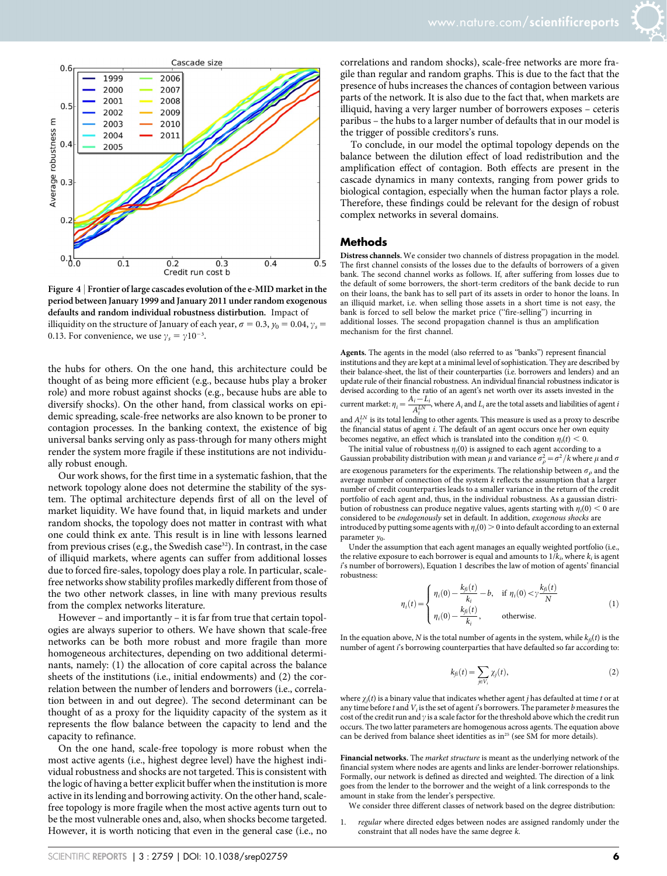

Figure 4 <sup>|</sup> Frontier of large cascades evolution of the e-MID market in the period between January 1999 and January 2011 under random exogenous defaults and random individual robustness distirbution. Impact of illiquidity on the structure of January of each year,  $\sigma = 0.3$ ,  $y_0 = 0.04$ ,  $y_s =$ 0.13. For convenience, we use  $\gamma_s = \gamma 10^{-3}$ .

the hubs for others. On the one hand, this architecture could be thought of as being more efficient (e.g., because hubs play a broker role) and more robust against shocks (e.g., because hubs are able to diversify shocks). On the other hand, from classical works on epidemic spreading, scale-free networks are also known to be proner to contagion processes. In the banking context, the existence of big universal banks serving only as pass-through for many others might render the system more fragile if these institutions are not individually robust enough.

Our work shows, for the first time in a systematic fashion, that the network topology alone does not determine the stability of the system. The optimal architecture depends first of all on the level of market liquidity. We have found that, in liquid markets and under random shocks, the topology does not matter in contrast with what one could think ex ante. This result is in line with lessons learned from previous crises (e.g., the Swedish case<sup>32</sup>). In contrast, in the case of illiquid markets, where agents can suffer from additional losses due to forced fire-sales, topology does play a role. In particular, scalefree networks show stability profiles markedly different from those of the two other network classes, in line with many previous results from the complex networks literature.

However – and importantly – it is far from true that certain topologies are always superior to others. We have shown that scale-free networks can be both more robust and more fragile than more homogeneous architectures, depending on two additional determinants, namely: (1) the allocation of core capital across the balance sheets of the institutions (i.e., initial endowments) and (2) the correlation between the number of lenders and borrowers (i.e., correlation between in and out degree). The second determinant can be thought of as a proxy for the liquidity capacity of the system as it represents the flow balance between the capacity to lend and the capacity to refinance.

On the one hand, scale-free topology is more robust when the most active agents (i.e., highest degree level) have the highest individual robustness and shocks are not targeted. This is consistent with the logic of having a better explicit buffer when the institution is more active in its lending and borrowing activity. On the other hand, scalefree topology is more fragile when the most active agents turn out to be the most vulnerable ones and, also, when shocks become targeted. However, it is worth noticing that even in the general case (i.e., no

correlations and random shocks), scale-free networks are more fragile than regular and random graphs. This is due to the fact that the presence of hubs increases the chances of contagion between various parts of the network. It is also due to the fact that, when markets are illiquid, having a very larger number of borrowers exposes – ceteris paribus – the hubs to a larger number of defaults that in our model is the trigger of possible creditors's runs.

To conclude, in our model the optimal topology depends on the balance between the dilution effect of load redistribution and the amplification effect of contagion. Both effects are present in the cascade dynamics in many contexts, ranging from power grids to biological contagion, especially when the human factor plays a role. Therefore, these findings could be relevant for the design of robust complex networks in several domains.

#### **Methods**

Distress channels. We consider two channels of distress propagation in the model. The first channel consists of the losses due to the defaults of borrowers of a given bank. The second channel works as follows. If, after suffering from losses due to the default of some borrowers, the short-term creditors of the bank decide to run on their loans, the bank has to sell part of its assets in order to honor the loans. In an illiquid market, i.e. when selling those assets in a short time is not easy, the bank is forced to sell below the market price (''fire-selling'') incurring in additional losses. The second propagation channel is thus an amplification mechanism for the first channel.

Agents. The agents in the model (also referred to as ''banks'') represent financial institutions and they are kept at a minimal level of sophistication. They are described by their balance-sheet, the list of their counterparties (i.e. borrowers and lenders) and an update rule of their financial robustness. An individual financial robustness indicator is devised according to the ratio of an agent's net worth over its assets invested in the current market:  $\eta_i = \frac{A_i - L_i}{A_i^{LN}}$ , where  $A_i$  and  $L_i$  are the total assets and liabilities of agent *i* 

and  $A_i^{LN}$  is its total lending to other agents. This measure is used as a proxy to describe the financial status of agent i. The default of an agent occurs once her own equity becomes negative, an effect which is translated into the condition  $\eta_i(t) < 0$ .

The initial value of robustness  $\eta_i(0)$  is assigned to each agent according to a Gaussian probability distribution with mean  $\mu$  and variance  $\sigma_{\rho}^2 = \sigma^2/k$  where  $\mu$  and  $\sigma$ are exogenous parameters for the experiments. The relationship between  $\sigma$ <sub>o</sub> and the average number of connection of the system k reflects the assumption that a larger number of credit counterparties leads to a smaller variance in the return of the credit portfolio of each agent and, thus, in the individual robustness. As a gaussian distribution of robustness can produce negative values, agents starting with  $\eta_i(0) < 0$  are considered to be endogenously set in default. In addition, exogenous shocks are introduced by putting some agents with  $\eta_i(0) > 0$  into default according to an external parameter  $y_0$ .

Under the assumption that each agent manages an equally weighted portfolio (i.e., the relative exposure to each borrower is equal and amounts to  $1/k_i$ , where  $k_i$  is agent i's number of borrowers), Equation 1 describes the law of motion of agents' financial robustness:

$$
\eta_i(t) = \begin{cases} \eta_i(0) - \frac{k_{fi}(t)}{k_i} - b, & \text{if } \eta_i(0) < \gamma \frac{k_{fi}(t)}{N} \\ \eta_i(0) - \frac{k_{fi}(t)}{k_i}, & \text{otherwise.} \end{cases}
$$
(1)

In the equation above, N is the total number of agents in the system, while  $k_f(t)$  is the number of agent i's borrowing counterparties that have defaulted so far according to:

$$
k_{fi}(t) = \sum_{j \in V_i} \chi_j(t), \qquad (2)
$$

where  $\chi_i(t)$  is a binary value that indicates whether agent j has defaulted at time t or at any time before  $t$  and  $V_i$  is the set of agent  $i$ 's borrowers. The parameter  $b$  measures the cost of the credit run and  $\gamma$  is a scale factor for the threshold above which the credit run occurs. The two latter parameters are homogenous across agents. The equation above can be derived from balance sheet identities as in<sup>25</sup> (see SM for more details).

Financial networks. The market structure is meant as the underlying network of the financial system where nodes are agents and links are lender-borrower relationships. Formally, our network is defined as directed and weighted. The direction of a link goes from the lender to the borrower and the weight of a link corresponds to the amount in stake from the lender's perspective.

We consider three different classes of network based on the degree distribution:

1. regular where directed edges between nodes are assigned randomly under the constraint that all nodes have the same degree k.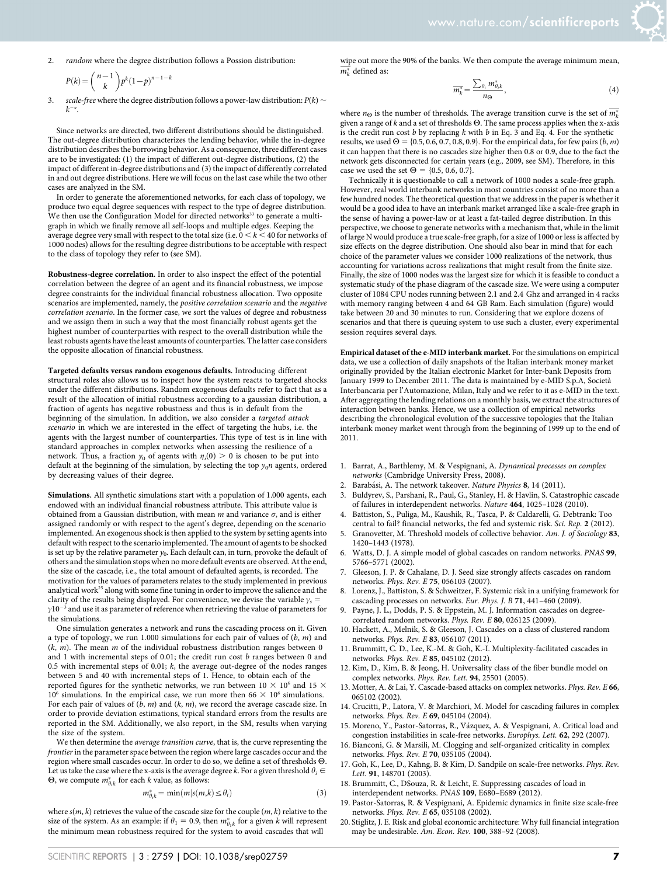2. random where the degree distribution follows a Possion distribution:

$$
P(k) = \binom{n-1}{k} p^k (1-p)^{n-1-k}
$$

3. scale-free where the degree distribution follows a power-law distribution:  $P(k) \sim$  $k^{-\alpha}$ .

Since networks are directed, two different distributions should be distinguished. The out-degree distribution characterizes the lending behavior, while the in-degree distribution describes the borrowing behavior. As a consequence, three different cases are to be investigated: (1) the impact of different out-degree distributions, (2) the impact of different in-degree distributions and (3) the impact of differently correlated in and out degree distributions. Here we will focus on the last case while the two other cases are analyzed in the SM.

In order to generate the aforementioned networks, for each class of topology, we produce two equal degree sequences with respect to the type of degree distribution. We then use the Configuration Model for directed networks<sup>33</sup> to generate a multigraph in which we finally remove all self-loops and multiple edges. Keeping the average degree very small with respect to the total size (i.e.  $0 < k < 40$  for networks of 1000 nodes) allows for the resulting degree distributions to be acceptable with respect to the class of topology they refer to (see SM).

Robustness-degree correlation. In order to also inspect the effect of the potential correlation between the degree of an agent and its financial robustness, we impose degree constraints for the individual financial robustness allocation. Two opposite scenarios are implemented, namely, the positive correlation scenario and the negative correlation scenario. In the former case, we sort the values of degree and robustness and we assign them in such a way that the most financially robust agents get the highest number of counterparties with respect to the overall distribution while the least robusts agents have the least amounts of counterparties. The latter case considers the opposite allocation of financial robustness.

Targeted defaults versus random exogenous defaults. Introducing different structural roles also allows us to inspect how the system reacts to targeted shocks under the different distributions. Random exogenous defaults refer to fact that as a result of the allocation of initial robustness according to a gaussian distribution, a fraction of agents has negative robustness and thus is in default from the beginning of the simulation. In addition, we also consider a targeted attack scenario in which we are interested in the effect of targeting the hubs, i.e. the agents with the largest number of counterparties. This type of test is in line with standard approaches in complex networks when assessing the resilience of a network. Thus, a fraction  $y_0$  of agents with  $\eta_i(0) > 0$  is chosen to be put into default at the beginning of the simulation, by selecting the top  $y_0n$  agents, ordered by decreasing values of their degree.

Simulations. All synthetic simulations start with a population of 1.000 agents, each endowed with an individual financial robustness attribute. This attribute value is obtained from a Gaussian distribution, with mean  $m$  and variance  $\sigma$ , and is either assigned randomly or with respect to the agent's degree, depending on the scenario implemented. An exogenous shock is then applied to the system by setting agents into default with respect to the scenario implemented. The amount of agents to be shocked is set up by the relative parameter  $y_0.$  Each default can, in turn, provoke the default of others and the simulation stops when no more default events are observed. At the end, the size of the cascade, i.e., the total amount of defaulted agents, is recorded. The motivation for the values of parameters relates to the study implemented in previous analytical work<sup>25</sup> along with some fine tuning in order to improve the salience and the clarity of the results being displayed. For convenience, we devise the variable  $\gamma_s$  =  $\gamma$ 10<sup>-3</sup> and use it as parameter of reference when retrieving the value of parameters for the simulations.

One simulation generates a network and runs the cascading process on it. Given a type of topology, we run 1.000 simulations for each pair of values of  $(b, m)$  and  $(k, m)$ . The mean *m* of the individual robustness distribution ranges between 0 and 1 with incremental steps of 0.01; the credit run cost b ranges between 0 and 0.5 with incremental steps of 0.01;  $k$ , the average out-degree of the nodes ranges between 5 and 40 with incremental steps of 1. Hence, to obtain each of the reported figures for the synthetic networks, we run between 10  $\times$  10<sup>6</sup> and 15  $\times$  $10^6$  simulations. In the empirical case, we run more then 66  $\times$  10<sup>6</sup> simulations. For each pair of values of  $(b, m)$  and  $(k, m)$ , we record the average cascade size. In order to provide deviation estimations, typical standard errors from the results are reported in the SM. Additionally, we also report, in the SM, results when varying the size of the system.

We then determine the average transition curve, that is, the curve representing the frontier in the parameter space between the region where large cascades occur and the region where small cascades occur. In order to do so, we define a set of thresholds  $\Theta$ . Let us take the case where the x-axis is the average degree k. For a given threshold  $\theta_i \in$  $\Theta$ , we compute  $m_{\theta_{i}k}^{*}$  for each k value, as follows:

$$
m_{\theta,k}^* = \min(m|s(m,k) \le \theta_i)
$$
\n(3)

where  $s(m, k)$  retrieves the value of the cascade size for the couple  $(m, k)$  relative to the size of the system. As an example: if  $\theta_1 = 0.9$ , then  $m_{\theta_1 k}^*$  for a given k will represent the minimum mean robustness required for the system to avoid cascades that will

wipe out more the 90% of the banks. We then compute the average minimum mean,  $\overline{m_k^*}$  defined as:

$$
\overline{m}_k^* = \frac{\sum_{\theta_i} m_{\theta_i k}^*}{n_{\Theta}},\tag{4}
$$

where  $n_{\Theta}$  is the number of thresholds. The average transition curve is the set of  $\overline{m_k^*}$ given a range of  $k$  and a set of thresholds  $\Theta$ . The same process applies when the x-axis given a range of  $k$  and a set of thresholds  $\Theta$ . The same process applies when the x-axis is the credit run cost  $b$  by replacing  $k$  with  $b$  in Eq. 3 and Eq. 4. For the synthetic results, we used  $\Theta = \{0.5, 0.6, 0.7, 0.8, 0.9\}$ . For the empirical data, for few pairs (b, m) it can happen that there is no cascades size higher then 0.8 or 0.9, due to the fact the network gets disconnected for certain years (e.g., 2009, see SM). Therefore, in this case we used the set  $\Theta = \{0.5, 0.6, 0.7\}.$ 

Technically it is questionable to call a network of 1000 nodes a scale-free graph. However, real world interbank networks in most countries consist of no more than a few hundred nodes. The theoretical question that we address in the paper is whether it would be a good idea to have an interbank market arranged like a scale-free graph in the sense of having a power-law or at least a fat-tailed degree distribution. In this perspective, we choose to generate networks with a mechanism that, while in the limit of large N would produce a true scale-free graph, for a size of 1000 or less is affected by size effects on the degree distribution. One should also bear in mind that for each choice of the parameter values we consider 1000 realizations of the network, thus accounting for variations across realizations that might result from the finite size. Finally, the size of 1000 nodes was the largest size for which it is feasible to conduct a systematic study of the phase diagram of the cascade size. We were using a computer cluster of 1084 CPU nodes running between 2.1 and 2.4 Ghz and arranged in 4 racks with memory ranging between 4 and 64 GB Ram. Each simulation (figure) would take between 20 and 30 minutes to run. Considering that we explore dozens of scenarios and that there is queuing system to use such a cluster, every experimental session requires several days.

Empirical dataset of the e-MID interbank market. For the simulations on empirical data, we use a collection of daily snapshots of the Italian interbank money market originally provided by the Italian electronic Market for Inter-bank Deposits from January 1999 to December 2011. The data is maintained by e-MID S.p.A, Societa` Interbancaria per l'Automazione, Milan, Italy and we refer to it as e-MID in the text. After aggregating the lending relations on a monthly basis, we extract the structures of interaction between banks. Hence, we use a collection of empirical networks describing the chronological evolution of the successive topologies that the Italian interbank money market went through from the beginning of 1999 up to the end of 2011.

- 1. Barrat, A., Barthlemy, M. & Vespignani, A. Dynamical processes on complex networks (Cambridge University Press, 2008).
- 2. Barabási, A. The network takeover. Nature Physics 8, 14 (2011).
- 3. Buldyrev, S., Parshani, R., Paul, G., Stanley, H. & Havlin, S. Catastrophic cascade of failures in interdependent networks. Nature 464, 1025–1028 (2010).
- 4. Battiston, S., Puliga, M., Kaushik, R., Tasca, P. & Caldarelli, G. Debtrank: Too central to fail? financial networks, the fed and systemic risk. Sci. Rep. 2 (2012).
- 5. Granovetter, M. Threshold models of collective behavior. Am. J. of Sociology 83, 1420–1443 (1978).
- 6. Watts, D. J. A simple model of global cascades on random networks. PNAS 99, 5766–5771 (2002).
- 7. Gleeson, J. P. & Cahalane, D. J. Seed size strongly affects cascades on random networks. Phys. Rev. E 75, 056103 (2007).
- 8. Lorenz, J., Battiston, S. & Schweitzer, F. Systemic risk in a unifying framework for cascading processes on networks. Eur. Phys. J. B 71, 441–460 (2009).
- Payne, J. L., Dodds, P. S. & Eppstein, M. J. Information cascades on degreecorrelated random networks. Phys. Rev. E 80, 026125 (2009).
- 10. Hackett, A., Melnik, S. & Gleeson, J. Cascades on a class of clustered random networks. Phys. Rev. E 83, 056107 (2011).
- 11. Brummitt, C. D., Lee, K.-M. & Goh, K.-I. Multiplexity-facilitated cascades in networks. Phys. Rev. E 85, 045102 (2012).
- 12. Kim, D., Kim, B. & Jeong, H. Universality class of the fiber bundle model on complex networks. Phys. Rev. Lett. 94, 25501 (2005).
- 13. Motter, A. & Lai, Y. Cascade-based attacks on complex networks. Phys. Rev. E 66, 065102 (2002).
- 14. Crucitti, P., Latora, V. & Marchiori, M. Model for cascading failures in complex networks. Phys. Rev. E 69, 045104 (2004).
- 15. Moreno, Y., Pastor-Satorras, R., Vázquez, A. & Vespignani, A. Critical load and congestion instabilities in scale-free networks. Europhys. Lett. 62, 292 (2007).
- 16. Bianconi, G. & Marsili, M. Clogging and self-organized criticality in complex networks. Phys. Rev. E 70, 035105 (2004).
- 17. Goh, K., Lee, D., Kahng, B. & Kim, D. Sandpile on scale-free networks. Phys. Rev. Lett. 91, 148701 (2003).
- 18. Brummitt, C., DSouza, R. & Leicht, E. Suppressing cascades of load in interdependent networks. PNAS 109, E680–E689 (2012).
- 19. Pastor-Satorras, R. & Vespignani, A. Epidemic dynamics in finite size scale-free networks. Phys. Rev. E 65, 035108 (2002).
- 20. Stiglitz, J. E. Risk and global economic architecture: Why full financial integration may be undesirable. Am. Econ. Rev. 100, 388–92 (2008).